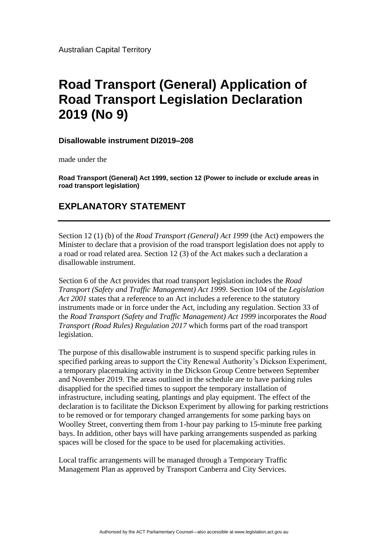Australian Capital Territory

## **Road Transport (General) Application of Road Transport Legislation Declaration 2019 (No 9)**

## **Disallowable instrument DI2019–208**

made under the

**Road Transport (General) Act 1999, section 12 (Power to include or exclude areas in road transport legislation)**

## **EXPLANATORY STATEMENT**

Section 12 (1) (b) of the *Road Transport (General) Act 1999* (the Act) empowers the Minister to declare that a provision of the road transport legislation does not apply to a road or road related area. Section 12 (3) of the Act makes such a declaration a disallowable instrument.

Section 6 of the Act provides that road transport legislation includes the *Road Transport (Safety and Traffic Management) Act 1999*. Section 104 of the *Legislation Act 2001* states that a reference to an Act includes a reference to the statutory instruments made or in force under the Act, including any regulation. Section 33 of the *Road Transport (Safety and Traffic Management) Act 1999* incorporates the *Road Transport (Road Rules) Regulation 2017* which forms part of the road transport legislation.

The purpose of this disallowable instrument is to suspend specific parking rules in specified parking areas to support the City Renewal Authority's Dickson Experiment, a temporary placemaking activity in the Dickson Group Centre between September and November 2019. The areas outlined in the schedule are to have parking rules disapplied for the specified times to support the temporary installation of infrastructure, including seating, plantings and play equipment. The effect of the declaration is to facilitate the Dickson Experiment by allowing for parking restrictions to be removed or for temporary changed arrangements for some parking bays on Woolley Street, converting them from 1-hour pay parking to 15-minute free parking bays. In addition, other bays will have parking arrangements suspended as parking spaces will be closed for the space to be used for placemaking activities.

Local traffic arrangements will be managed through a Temporary Traffic Management Plan as approved by Transport Canberra and City Services.